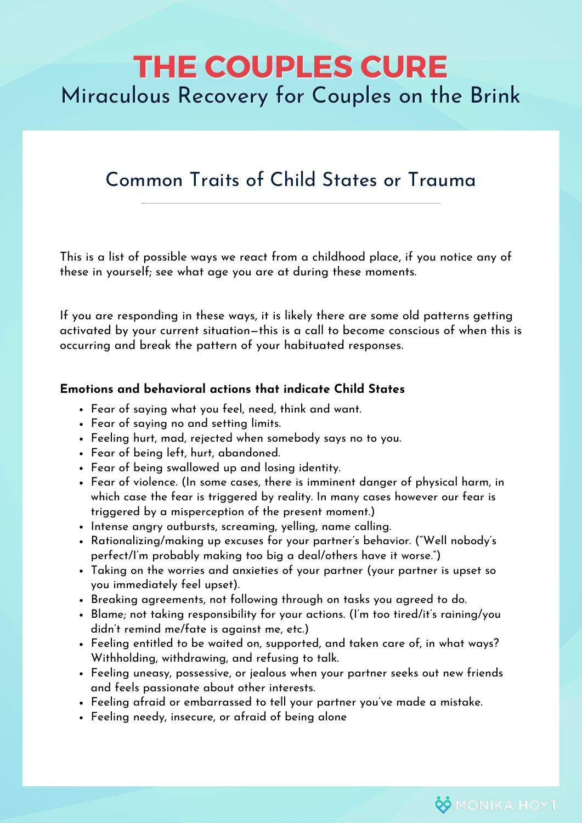## **THE COUPLES CURE** Miraculous Recovery for Couples on the Brink

## Common Traits of Child States or Trauma

This is a list of possible ways we react from a childhood place, if you notice any of these in yourself; see what age you are at during these moments.

If you are responding in these ways, it is likely there are some old patterns getting activated by your current situation—this is a call to become conscious of when this is occurring and break the pattern of your habituated responses.

## **Emotions and behavioral actions that indicate Child States**

- Fear of saying what you feel, need, think and want.
- Fear of saying no and setting limits.
- Feeling hurt, mad, rejected when somebody says no to you.
- Fear of being left, hurt, abandoned.
- Fear of being swallowed up and losing identity.
- Fear of violence. (In some cases, there is imminent danger of physical harm, in which case the fear is triggered by reality. In many cases however our fear is triggered by a misperception of the present moment.)
- Intense angry outbursts, screaming, yelling, name calling.
- Rationalizing/making up excuses for your partner's behavior. ("Well nobody's perfect/I'm probably making too big a deal/others have it worse.")
- Taking on the worries and anxieties of your partner (your partner is upset so you immediately feel upset).
- Breaking agreements, not following through on tasks you agreed to do.
- Blame; not taking responsibility for your actions. (I'm too tired/it's raining/you didn't remind me/fate is against me, etc.)
- Feeling entitled to be waited on, supported, and taken care of, in what ways? Withholding, withdrawing, and refusing to talk.
- Feeling uneasy, possessive, or jealous when your partner seeks out new friends and feels passionate about other interests.

**V** MONIKA HOYT

- Feeling afraid or embarrassed to tell your partner you've made a mistake.
- Feeling needy, insecure, or afraid of being alone